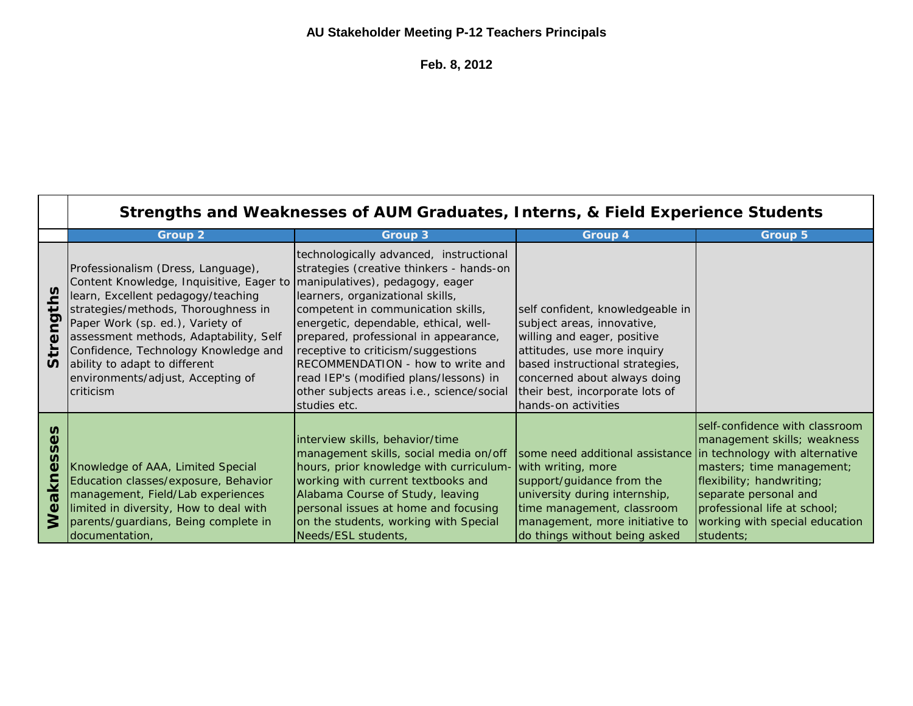## **AU Stakeholder Meeting P-12 Teachers Principals**

**Feb. 8, 2012**

|                                                         | Strengths and Weaknesses of AUM Graduates, Interns, & Field Experience Students                                                                                                                                                                                                                                                                                      |                                                                                                                                                                                                                                                                                                                                                                                                                                                                      |                                                                                                                                                                                                                                                           |                                                                                                                                                                                                                                 |
|---------------------------------------------------------|----------------------------------------------------------------------------------------------------------------------------------------------------------------------------------------------------------------------------------------------------------------------------------------------------------------------------------------------------------------------|----------------------------------------------------------------------------------------------------------------------------------------------------------------------------------------------------------------------------------------------------------------------------------------------------------------------------------------------------------------------------------------------------------------------------------------------------------------------|-----------------------------------------------------------------------------------------------------------------------------------------------------------------------------------------------------------------------------------------------------------|---------------------------------------------------------------------------------------------------------------------------------------------------------------------------------------------------------------------------------|
|                                                         | <b>Group 2</b>                                                                                                                                                                                                                                                                                                                                                       | <b>Group 3</b>                                                                                                                                                                                                                                                                                                                                                                                                                                                       | <b>Group 4</b>                                                                                                                                                                                                                                            | Group 5                                                                                                                                                                                                                         |
| <u>S</u><br>∓<br><u>ក</u><br>Φ<br>$\boldsymbol{\omega}$ | Professionalism (Dress, Language),<br>Content Knowledge, Inquisitive, Eager to<br>learn, Excellent pedagogy/teaching<br>strategies/methods, Thoroughness in<br>Paper Work (sp. ed.), Variety of<br>assessment methods, Adaptability, Self<br>Confidence, Technology Knowledge and<br>ability to adapt to different<br>environments/adjust, Accepting of<br>criticism | technologically advanced, instructional<br>strategies (creative thinkers - hands-on<br>manipulatives), pedagogy, eager<br>learners, organizational skills,<br>competent in communication skills,<br>energetic, dependable, ethical, well-<br>prepared, professional in appearance,<br>receptive to criticism/suggestions<br>RECOMMENDATION - how to write and<br>read IEP's (modified plans/lessons) in<br>other subjects areas i.e., science/social<br>studies etc. | self confident, knowledgeable in<br>subject areas, innovative,<br>willing and eager, positive<br>attitudes, use more inquiry<br>based instructional strategies,<br>concerned about always doing<br>their best, incorporate lots of<br>hands-on activities |                                                                                                                                                                                                                                 |
| n<br>Φ<br>n<br>n<br>ω<br>akn<br>$\mathbf 0$<br>$\leq$   | Knowledge of AAA, Limited Special<br>Education classes/exposure, Behavior<br>management, Field/Lab experiences<br>limited in diversity, How to deal with<br>parents/guardians, Being complete in<br>documentation,                                                                                                                                                   | interview skills, behavior/time<br>management skills, social media on/off<br>hours, prior knowledge with curriculum-<br>working with current textbooks and<br>Alabama Course of Study, leaving<br>personal issues at home and focusing<br>on the students, working with Special<br>Needs/ESL students,                                                                                                                                                               | some need additional assistance in technology with alternative<br>with writing, more<br>support/guidance from the<br>university during internship,<br>time management, classroom<br>management, more initiative to<br>do things without being asked       | self-confidence with classroom<br>management skills; weakness<br>masters; time management;<br>flexibility; handwriting;<br>separate personal and<br>professional life at school;<br>working with special education<br>students; |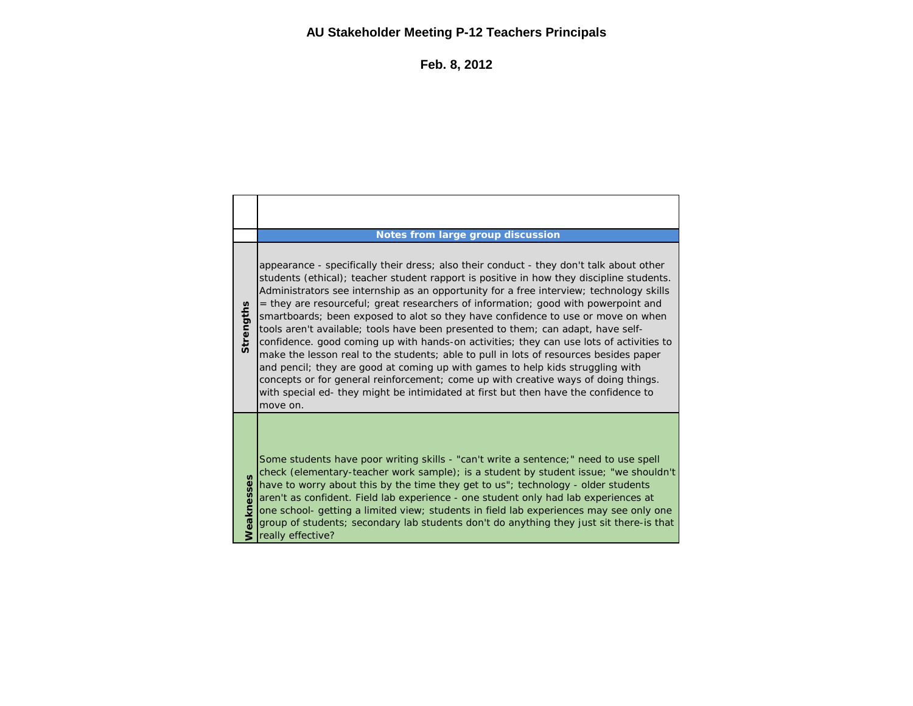## **AU Stakeholder Meeting P-12 Teachers Principals**

**Feb. 8, 2012**

|            | Notes from large group discussion                                                                                                                                                                                                                                                                                                                                                                                                                                                                                                                                                                                                                                                                                                                                                                                                                                                                                                                                                                           |
|------------|-------------------------------------------------------------------------------------------------------------------------------------------------------------------------------------------------------------------------------------------------------------------------------------------------------------------------------------------------------------------------------------------------------------------------------------------------------------------------------------------------------------------------------------------------------------------------------------------------------------------------------------------------------------------------------------------------------------------------------------------------------------------------------------------------------------------------------------------------------------------------------------------------------------------------------------------------------------------------------------------------------------|
| Strengths  | appearance - specifically their dress; also their conduct - they don't talk about other<br>students (ethical); teacher student rapport is positive in how they discipline students.<br>Administrators see internship as an opportunity for a free interview; technology skills<br>= they are resourceful; great researchers of information; good with powerpoint and<br>smartboards; been exposed to alot so they have confidence to use or move on when<br>tools aren't available; tools have been presented to them; can adapt, have self-<br>confidence, good coming up with hands-on activities; they can use lots of activities to<br>make the lesson real to the students; able to pull in lots of resources besides paper<br>and pencil; they are good at coming up with games to help kids struggling with<br>concepts or for general reinforcement; come up with creative ways of doing things.<br>with special ed- they might be intimidated at first but then have the confidence to<br>move on. |
| Weaknesses | Some students have poor writing skills - "can't write a sentence;" need to use spell<br>check (elementary-teacher work sample); is a student by student issue; "we shouldn't<br>have to worry about this by the time they get to us"; technology - older students<br>aren't as confident. Field lab experience - one student only had lab experiences at<br>one school- getting a limited view; students in field lab experiences may see only one<br>group of students; secondary lab students don't do anything they just sit there-is that<br>really effective?                                                                                                                                                                                                                                                                                                                                                                                                                                          |